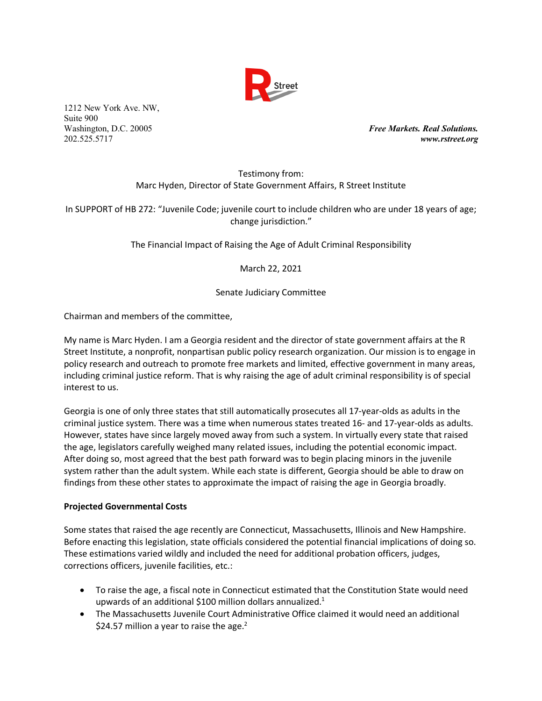

1212 New York Ave. NW, Suite 900

Washington, D.C. 20005 *Free Markets. Real Solutions.* 202.525.5717 *www.rstreet.org*

# Testimony from: Marc Hyden, Director of State Government Affairs, R Street Institute

In SUPPORT of HB 272: "Juvenile Code; juvenile court to include children who are under 18 years of age; change jurisdiction."

The Financial Impact of Raising the Age of Adult Criminal Responsibility

March 22, 2021

Senate Judiciary Committee

Chairman and members of the committee,

My name is Marc Hyden. I am a Georgia resident and the director of state government affairs at the R Street Institute, a nonprofit, nonpartisan public policy research organization. Our mission is to engage in policy research and outreach to promote free markets and limited, effective government in many areas, including criminal justice reform. That is why raising the age of adult criminal responsibility is of special interest to us.

Georgia is one of only three states that still automatically prosecutes all 17-year-olds as adults in the criminal justice system. There was a time when numerous states treated 16- and 17-year-olds as adults. However, states have since largely moved away from such a system. In virtually every state that raised the age, legislators carefully weighed many related issues, including the potential economic impact. After doing so, most agreed that the best path forward was to begin placing minors in the juvenile system rather than the adult system. While each state is different, Georgia should be able to draw on findings from these other states to approximate the impact of raising the age in Georgia broadly.

### **Projected Governmental Costs**

Some states that raised the age recently are Connecticut, Massachusetts, Illinois and New Hampshire. Before enacting this legislation, state officials considered the potential financial implications of doing so. These estimations varied wildly and included the need for additional probation officers, judges, corrections officers, juvenile facilities, etc.:

- To raise the age, a fiscal note in Connecticut estimated that the Constitution State would need upwards of an additional \$100 million dollars annualized.<sup>1</sup>
- The Massachusetts Juvenile Court Administrative Office claimed it would need an additional \$24.57 million a year to raise the age.<sup>2</sup>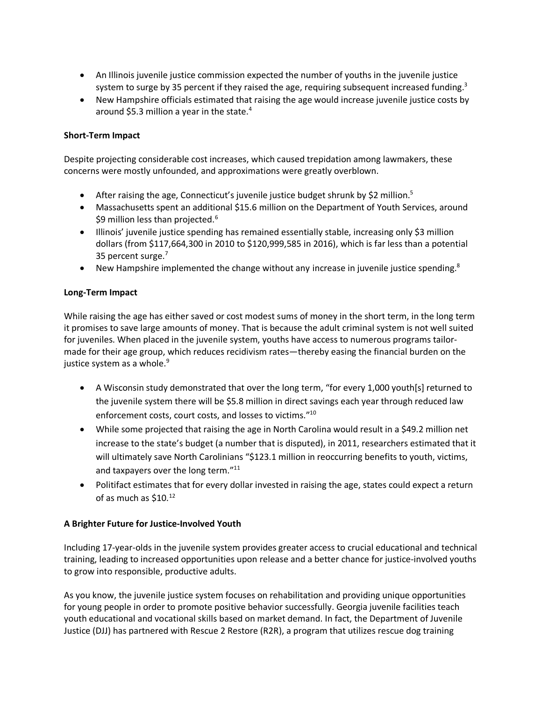- An Illinois juvenile justice commission expected the number of youths in the juvenile justice system to surge by 35 percent if they raised the age, requiring subsequent increased funding.<sup>3</sup>
- New Hampshire officials estimated that raising the age would increase juvenile justice costs by around \$5.3 million a year in the state.<sup>4</sup>

# **Short-Term Impact**

Despite projecting considerable cost increases, which caused trepidation among lawmakers, these concerns were mostly unfounded, and approximations were greatly overblown.

- After raising the age, Connecticut's juvenile justice budget shrunk by \$2 million.<sup>5</sup>
- Massachusetts spent an additional \$15.6 million on the Department of Youth Services, around \$9 million less than projected.<sup>6</sup>
- Illinois' juvenile justice spending has remained essentially stable, increasing only \$3 million dollars (from \$117,664,300 in 2010 to \$120,999,585 in 2016), which is far less than a potential 35 percent surge.<sup>7</sup>
- New Hampshire implemented the change without any increase in juvenile justice spending.<sup>8</sup>

### **Long-Term Impact**

While raising the age has either saved or cost modest sums of money in the short term, in the long term it promises to save large amounts of money. That is because the adult criminal system is not well suited for juveniles. When placed in the juvenile system, youths have access to numerous programs tailormade for their age group, which reduces recidivism rates—thereby easing the financial burden on the justice system as a whole. $9$ 

- A Wisconsin study demonstrated that over the long term, "for every 1,000 youth[s] returned to the juvenile system there will be \$5.8 million in direct savings each year through reduced law enforcement costs, court costs, and losses to victims."10
- While some projected that raising the age in North Carolina would result in a \$49.2 million net increase to the state's budget (a number that is disputed), in 2011, researchers estimated that it will ultimately save North Carolinians "\$123.1 million in reoccurring benefits to youth, victims, and taxpayers over the long term."<sup>11</sup>
- Politifact estimates that for every dollar invested in raising the age, states could expect a return of as much as \$10.12

### **A Brighter Future for Justice-Involved Youth**

Including 17-year-olds in the juvenile system provides greater access to crucial educational and technical training, leading to increased opportunities upon release and a better chance for justice-involved youths to grow into responsible, productive adults.

As you know, the juvenile justice system focuses on rehabilitation and providing unique opportunities for young people in order to promote positive behavior successfully. Georgia juvenile facilities teach youth educational and vocational skills based on market demand. In fact, the Department of Juvenile Justice (DJJ) has partnered with Rescue 2 Restore (R2R), a program that utilizes rescue dog training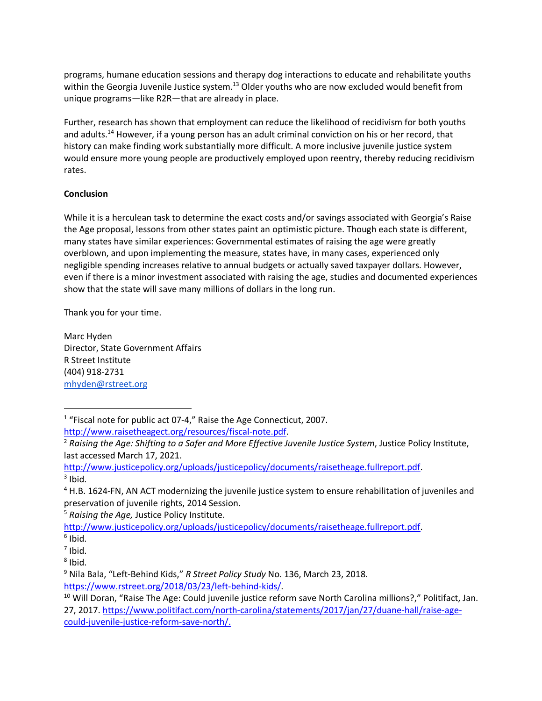programs, humane education sessions and therapy dog interactions to educate and rehabilitate youths within the Georgia Juvenile Justice system.<sup>13</sup> Older youths who are now excluded would benefit from unique programs—like R2R—that are already in place.

Further, research has shown that employment can reduce the likelihood of recidivism for both youths and adults.<sup>14</sup> However, if a young person has an adult criminal conviction on his or her record, that history can make finding work substantially more difficult. A more inclusive juvenile justice system would ensure more young people are productively employed upon reentry, thereby reducing recidivism rates.

# **Conclusion**

While it is a herculean task to determine the exact costs and/or savings associated with Georgia's Raise the Age proposal, lessons from other states paint an optimistic picture. Though each state is different, many states have similar experiences: Governmental estimates of raising the age were greatly overblown, and upon implementing the measure, states have, in many cases, experienced only negligible spending increases relative to annual budgets or actually saved taxpayer dollars. However, even if there is a minor investment associated with raising the age, studies and documented experiences show that the state will save many millions of dollars in the long run.

Thank you for your time.

Marc Hyden Director, State Government Affairs R Street Institute (404) 918-2731 mhyden@rstreet.org

<sup>5</sup> *Raising the Age,* Justice Policy Institute.

http://www.justicepolicy.org/uploads/justicepolicy/documents/raisetheage.fullreport.pdf.

<u>.</u>

<sup>&</sup>lt;sup>1</sup> "Fiscal note for public act 07-4," Raise the Age Connecticut, 2007.

http://www.raisetheagect.org/resources/fiscal-note.pdf.

<sup>2</sup> *Raising the Age: Shifting to a Safer and More Effective Juvenile Justice System*, Justice Policy Institute, last accessed March 17, 2021.

http://www.justicepolicy.org/uploads/justicepolicy/documents/raisetheage.fullreport.pdf.  $3$  Ibid.

<sup>&</sup>lt;sup>4</sup> H.B. 1624-FN, AN ACT modernizing the juvenile justice system to ensure rehabilitation of juveniles and preservation of juvenile rights, 2014 Session.

 $6$  Ibid.

 $7$  Ibid.

 $8$  Ibid.

<sup>9</sup> Nila Bala, "Left-Behind Kids," *R Street Policy Study* No. 136, March 23, 2018. https://www.rstreet.org/2018/03/23/left-behind-kids/.

<sup>&</sup>lt;sup>10</sup> Will Doran, "Raise The Age: Could juvenile justice reform save North Carolina millions?," Politifact, Jan. 27, 2017. https://www.politifact.com/north-carolina/statements/2017/jan/27/duane-hall/raise-agecould-juvenile-justice-reform-save-north/.